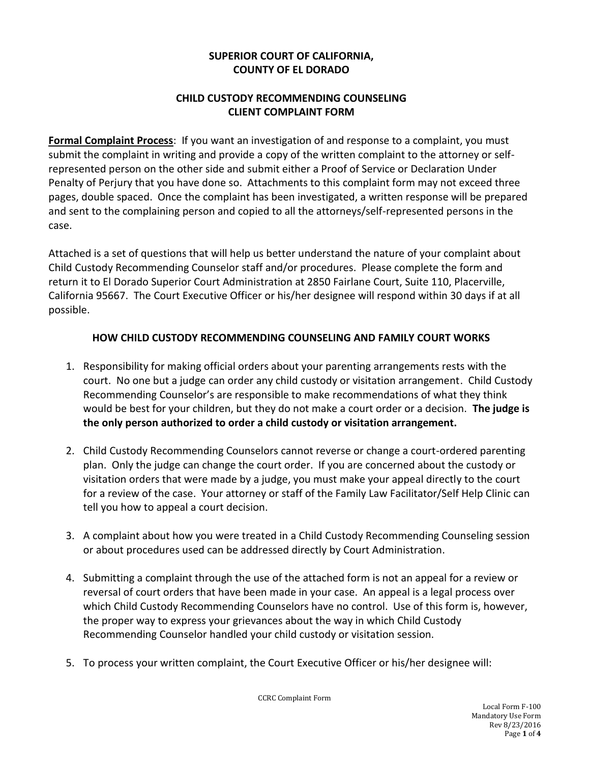## **SUPERIOR COURT OF CALIFORNIA, COUNTY OF EL DORADO**

## **CHILD CUSTODY RECOMMENDING COUNSELING CLIENT COMPLAINT FORM**

**Formal Complaint Process**: If you want an investigation of and response to a complaint, you must submit the complaint in writing and provide a copy of the written complaint to the attorney or selfrepresented person on the other side and submit either a Proof of Service or Declaration Under Penalty of Perjury that you have done so. Attachments to this complaint form may not exceed three pages, double spaced. Once the complaint has been investigated, a written response will be prepared and sent to the complaining person and copied to all the attorneys/self-represented persons in the case.

Attached is a set of questions that will help us better understand the nature of your complaint about Child Custody Recommending Counselor staff and/or procedures. Please complete the form and return it to El Dorado Superior Court Administration at 2850 Fairlane Court, Suite 110, Placerville, California 95667. The Court Executive Officer or his/her designee will respond within 30 days if at all possible.

### **HOW CHILD CUSTODY RECOMMENDING COUNSELING AND FAMILY COURT WORKS**

- 1. Responsibility for making official orders about your parenting arrangements rests with the court. No one but a judge can order any child custody or visitation arrangement. Child Custody Recommending Counselor's are responsible to make recommendations of what they think would be best for your children, but they do not make a court order or a decision. **The judge is the only person authorized to order a child custody or visitation arrangement.**
- 2. Child Custody Recommending Counselors cannot reverse or change a court-ordered parenting plan. Only the judge can change the court order. If you are concerned about the custody or visitation orders that were made by a judge, you must make your appeal directly to the court for a review of the case. Your attorney or staff of the Family Law Facilitator/Self Help Clinic can tell you how to appeal a court decision.
- 3. A complaint about how you were treated in a Child Custody Recommending Counseling session or about procedures used can be addressed directly by Court Administration.
- 4. Submitting a complaint through the use of the attached form is not an appeal for a review or reversal of court orders that have been made in your case. An appeal is a legal process over which Child Custody Recommending Counselors have no control. Use of this form is, however, the proper way to express your grievances about the way in which Child Custody Recommending Counselor handled your child custody or visitation session.
- 5. To process your written complaint, the Court Executive Officer or his/her designee will:

CCRC Complaint Form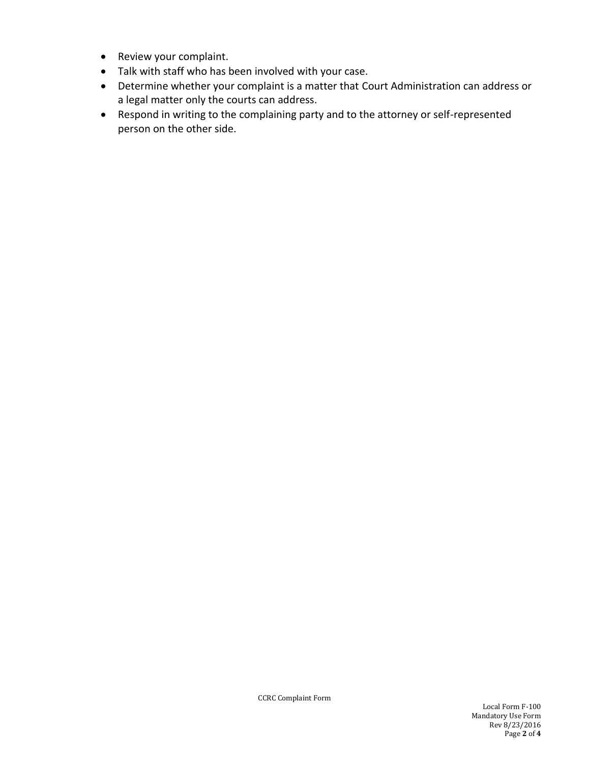- Review your complaint.
- Talk with staff who has been involved with your case.
- Determine whether your complaint is a matter that Court Administration can address or a legal matter only the courts can address.
- Respond in writing to the complaining party and to the attorney or self-represented person on the other side.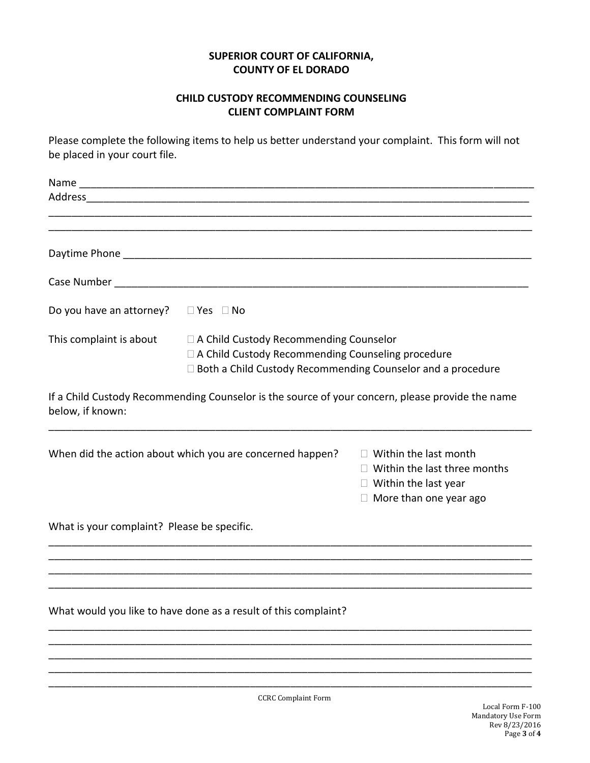# **SUPERIOR COURT OF CALIFORNIA, COUNTY OF EL DORADO**

#### **CHILD CUSTODY RECOMMENDING COUNSELING CLIENT COMPLAINT FORM**

Please complete the following items to help us better understand your complaint. This form will not be placed in your court file.

| Do you have an attorney? $\square$ Yes $\square$ No       |                                                                                                                                                                  |                                                                                                                                     |
|-----------------------------------------------------------|------------------------------------------------------------------------------------------------------------------------------------------------------------------|-------------------------------------------------------------------------------------------------------------------------------------|
| This complaint is about                                   | □ A Child Custody Recommending Counselor<br>□ A Child Custody Recommending Counseling procedure<br>□ Both a Child Custody Recommending Counselor and a procedure |                                                                                                                                     |
| below, if known:                                          | If a Child Custody Recommending Counselor is the source of your concern, please provide the name                                                                 |                                                                                                                                     |
| When did the action about which you are concerned happen? |                                                                                                                                                                  | $\Box$ Within the last month<br>$\Box$ Within the last three months<br>$\Box$ Within the last year<br>$\Box$ More than one year ago |
| What is your complaint? Please be specific.               |                                                                                                                                                                  |                                                                                                                                     |
|                                                           |                                                                                                                                                                  |                                                                                                                                     |
|                                                           | What would you like to have done as a result of this complaint?                                                                                                  |                                                                                                                                     |
|                                                           |                                                                                                                                                                  |                                                                                                                                     |
|                                                           |                                                                                                                                                                  |                                                                                                                                     |

CCRC Complaint Form